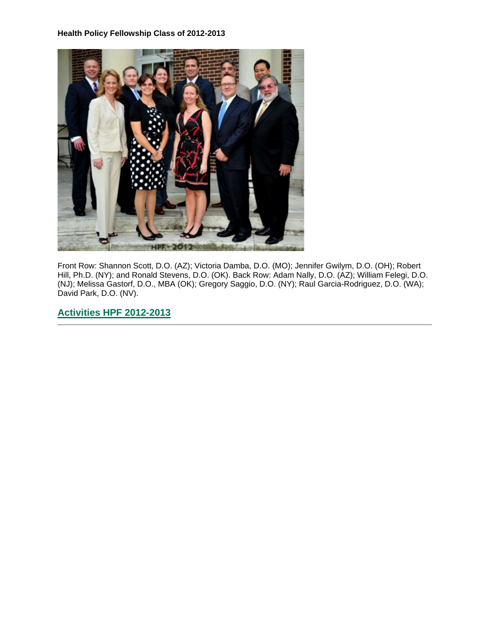

Front Row: Shannon Scott, D.O. (AZ); Victoria Damba, D.O. (MO); Jennifer Gwilym, D.O. (OH); Robert Hill, Ph.D. (NY); and Ronald Stevens, D.O. (OK). Back Row: Adam Nally, D.O. (AZ); William Felegi, D.O. (NJ); Melissa Gastorf, D.O., MBA (OK); Gregory Saggio, D.O. (NY); Raul Garcia-Rodriguez, D.O. (WA); David Park, D.O. (NV).

# **[Activities HPF 2012-2013](https://ohio.box.com/s/fti0gpib1x5i6yzm8ovi4274jo4rmep4)**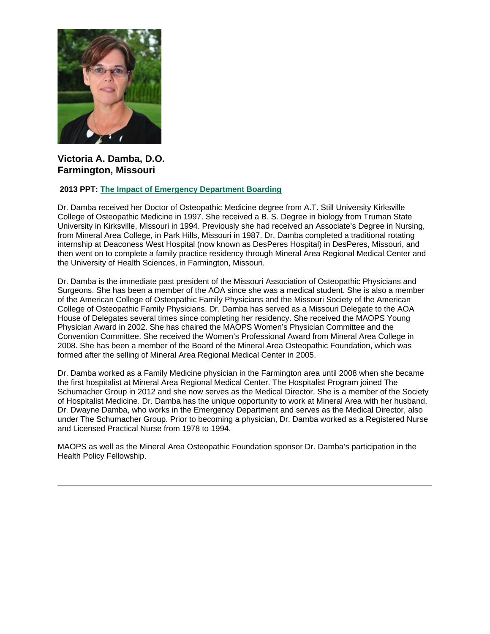

# **Victoria A. Damba, D.O. Farmington, Missouri**

### **2013 PPT: [The Impact of Emergency Department Boarding](https://ohio.box.com/s/8tbkctgq4ztcpn8zr4fmzhpz196wxvpb)**

Dr. Damba received her Doctor of Osteopathic Medicine degree from A.T. Still University Kirksville College of Osteopathic Medicine in 1997. She received a B. S. Degree in biology from Truman State University in Kirksville, Missouri in 1994. Previously she had received an Associate's Degree in Nursing, from Mineral Area College, in Park Hills, Missouri in 1987. Dr. Damba completed a traditional rotating internship at Deaconess West Hospital (now known as DesPeres Hospital) in DesPeres, Missouri, and then went on to complete a family practice residency through Mineral Area Regional Medical Center and the University of Health Sciences, in Farmington, Missouri.

Dr. Damba is the immediate past president of the Missouri Association of Osteopathic Physicians and Surgeons. She has been a member of the AOA since she was a medical student. She is also a member of the American College of Osteopathic Family Physicians and the Missouri Society of the American College of Osteopathic Family Physicians. Dr. Damba has served as a Missouri Delegate to the AOA House of Delegates several times since completing her residency. She received the MAOPS Young Physician Award in 2002. She has chaired the MAOPS Women's Physician Committee and the Convention Committee. She received the Women's Professional Award from Mineral Area College in 2008. She has been a member of the Board of the Mineral Area Osteopathic Foundation, which was formed after the selling of Mineral Area Regional Medical Center in 2005.

Dr. Damba worked as a Family Medicine physician in the Farmington area until 2008 when she became the first hospitalist at Mineral Area Regional Medical Center. The Hospitalist Program joined The Schumacher Group in 2012 and she now serves as the Medical Director. She is a member of the Society of Hospitalist Medicine. Dr. Damba has the unique opportunity to work at Mineral Area with her husband, Dr. Dwayne Damba, who works in the Emergency Department and serves as the Medical Director, also under The Schumacher Group. Prior to becoming a physician, Dr. Damba worked as a Registered Nurse and Licensed Practical Nurse from 1978 to 1994.

MAOPS as well as the Mineral Area Osteopathic Foundation sponsor Dr. Damba's participation in the Health Policy Fellowship.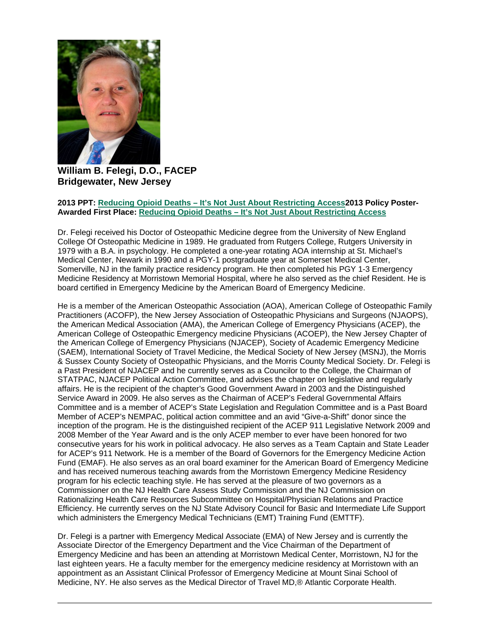

**William B. Felegi, D.O., FACEP Bridgewater, New Jersey**

#### **2013 PPT: Reducing Opioid Deaths – [It's Not Just About Restricting Access2](https://ohio.box.com/s/b9pe778qcxe9zz0cxr96xw3g83xt0x7u)013 Policy Poster-Awarded First Place: Reducing Opioid Deaths – [It's Not Just About Restricting Access](https://ohio.box.com/s/q8gnkmgptm1j5lv9wma1ltylbb163kf8)**

Dr. Felegi received his Doctor of Osteopathic Medicine degree from the University of New England College Of Osteopathic Medicine in 1989. He graduated from Rutgers College, Rutgers University in 1979 with a B.A. in psychology. He completed a one-year rotating AOA internship at St. Michael's Medical Center, Newark in 1990 and a PGY-1 postgraduate year at Somerset Medical Center, Somerville, NJ in the family practice residency program. He then completed his PGY 1-3 Emergency Medicine Residency at Morristown Memorial Hospital, where he also served as the chief Resident. He is board certified in Emergency Medicine by the American Board of Emergency Medicine.

He is a member of the American Osteopathic Association (AOA), American College of Osteopathic Family Practitioners (ACOFP), the New Jersey Association of Osteopathic Physicians and Surgeons (NJAOPS), the American Medical Association (AMA), the American College of Emergency Physicians (ACEP), the American College of Osteopathic Emergency medicine Physicians (ACOEP), the New Jersey Chapter of the American College of Emergency Physicians (NJACEP), Society of Academic Emergency Medicine (SAEM), International Society of Travel Medicine, the Medical Society of New Jersey (MSNJ), the Morris & Sussex County Society of Osteopathic Physicians, and the Morris County Medical Society. Dr. Felegi is a Past President of NJACEP and he currently serves as a Councilor to the College, the Chairman of STATPAC, NJACEP Political Action Committee, and advises the chapter on legislative and regularly affairs. He is the recipient of the chapter's Good Government Award in 2003 and the Distinguished Service Award in 2009. He also serves as the Chairman of ACEP's Federal Governmental Affairs Committee and is a member of ACEP's State Legislation and Regulation Committee and is a Past Board Member of ACEP's NEMPAC, political action committee and an avid "Give-a-Shift" donor since the inception of the program. He is the distinguished recipient of the ACEP 911 Legislative Network 2009 and 2008 Member of the Year Award and is the only ACEP member to ever have been honored for two consecutive years for his work in political advocacy. He also serves as a Team Captain and State Leader for ACEP's 911 Network. He is a member of the Board of Governors for the Emergency Medicine Action Fund (EMAF). He also serves as an oral board examiner for the American Board of Emergency Medicine and has received numerous teaching awards from the Morristown Emergency Medicine Residency program for his eclectic teaching style. He has served at the pleasure of two governors as a Commissioner on the NJ Health Care Assess Study Commission and the NJ Commission on Rationalizing Health Care Resources Subcommittee on Hospital/Physician Relations and Practice Efficiency. He currently serves on the NJ State Advisory Council for Basic and Intermediate Life Support which administers the Emergency Medical Technicians (EMT) Training Fund (EMTTF).

Dr. Felegi is a partner with Emergency Medical Associate (EMA) of New Jersey and is currently the Associate Director of the Emergency Department and the Vice Chairman of the Department of Emergency Medicine and has been an attending at Morristown Medical Center, Morristown, NJ for the last eighteen years. He a faculty member for the emergency medicine residency at Morristown with an appointment as an Assistant Clinical Professor of Emergency Medicine at Mount Sinai School of Medicine, NY. He also serves as the Medical Director of Travel MD,® Atlantic Corporate Health.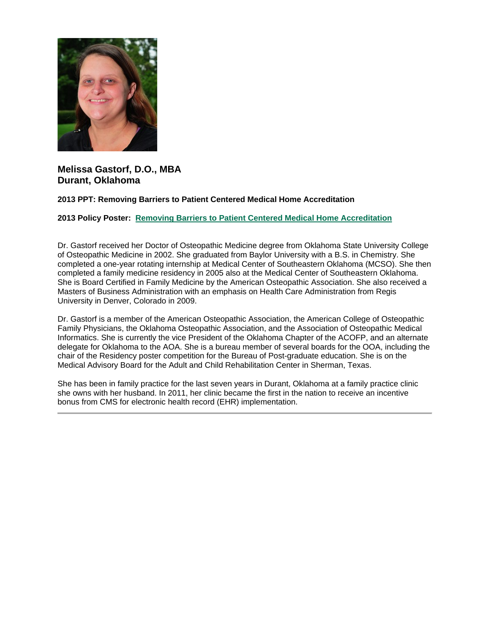

## **Melissa Gastorf, D.O., MBA Durant, Oklahoma**

**2013 PPT: Removing Barriers to Patient Centered Medical Home Accreditation**

**2013 Policy Poster: [Removing Barriers to Patient Centered Medical Home Accreditation](https://ohio.box.com/s/or3ywf7jbm6loxd5ug0mcqqryn8yqck7)**

Dr. Gastorf received her Doctor of Osteopathic Medicine degree from Oklahoma State University College of Osteopathic Medicine in 2002. She graduated from Baylor University with a B.S. in Chemistry. She completed a one-year rotating internship at Medical Center of Southeastern Oklahoma (MCSO). She then completed a family medicine residency in 2005 also at the Medical Center of Southeastern Oklahoma. She is Board Certified in Family Medicine by the American Osteopathic Association. She also received a Masters of Business Administration with an emphasis on Health Care Administration from Regis University in Denver, Colorado in 2009.

Dr. Gastorf is a member of the American Osteopathic Association, the American College of Osteopathic Family Physicians, the Oklahoma Osteopathic Association, and the Association of Osteopathic Medical Informatics. She is currently the vice President of the Oklahoma Chapter of the ACOFP, and an alternate delegate for Oklahoma to the AOA. She is a bureau member of several boards for the OOA, including the chair of the Residency poster competition for the Bureau of Post-graduate education. She is on the Medical Advisory Board for the Adult and Child Rehabilitation Center in Sherman, Texas.

She has been in family practice for the last seven years in Durant, Oklahoma at a family practice clinic she owns with her husband. In 2011, her clinic became the first in the nation to receive an incentive bonus from CMS for electronic health record (EHR) implementation.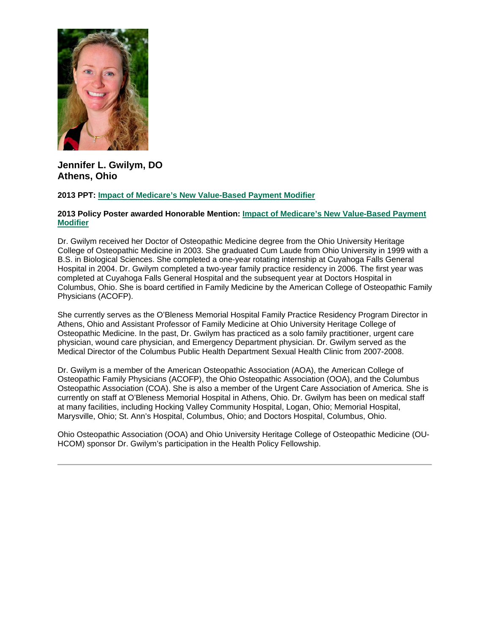

# **Jennifer L. Gwilym, DO Athens, Ohio**

### **2013 PPT: [Impact of Medicare's New Value-Based Payment Modifier](https://ohio.box.com/s/ovot176ml7lsnmivyo02xary8e6qu3ae)**

#### **2013 Policy Poster awarded Honorable Mention: [Impact of Medicare's New Value-Based Payment](https://ohio.box.com/s/45po53ow9e2ery46tl07veyy0rryo033)  [Modifier](https://ohio.box.com/s/45po53ow9e2ery46tl07veyy0rryo033)**

Dr. Gwilym received her Doctor of Osteopathic Medicine degree from the Ohio University Heritage College of Osteopathic Medicine in 2003. She graduated Cum Laude from Ohio University in 1999 with a B.S. in Biological Sciences. She completed a one-year rotating internship at Cuyahoga Falls General Hospital in 2004. Dr. Gwilym completed a two-year family practice residency in 2006. The first year was completed at Cuyahoga Falls General Hospital and the subsequent year at Doctors Hospital in Columbus, Ohio. She is board certified in Family Medicine by the American College of Osteopathic Family Physicians (ACOFP).

She currently serves as the O'Bleness Memorial Hospital Family Practice Residency Program Director in Athens, Ohio and Assistant Professor of Family Medicine at Ohio University Heritage College of Osteopathic Medicine. In the past, Dr. Gwilym has practiced as a solo family practitioner, urgent care physician, wound care physician, and Emergency Department physician. Dr. Gwilym served as the Medical Director of the Columbus Public Health Department Sexual Health Clinic from 2007-2008.

Dr. Gwilym is a member of the American Osteopathic Association (AOA), the American College of Osteopathic Family Physicians (ACOFP), the Ohio Osteopathic Association (OOA), and the Columbus Osteopathic Association (COA). She is also a member of the Urgent Care Association of America. She is currently on staff at O'Bleness Memorial Hospital in Athens, Ohio. Dr. Gwilym has been on medical staff at many facilities, including Hocking Valley Community Hospital, Logan, Ohio; Memorial Hospital, Marysville, Ohio; St. Ann's Hospital, Columbus, Ohio; and Doctors Hospital, Columbus, Ohio.

Ohio Osteopathic Association (OOA) and Ohio University Heritage College of Osteopathic Medicine (OU-HCOM) sponsor Dr. Gwilym's participation in the Health Policy Fellowship.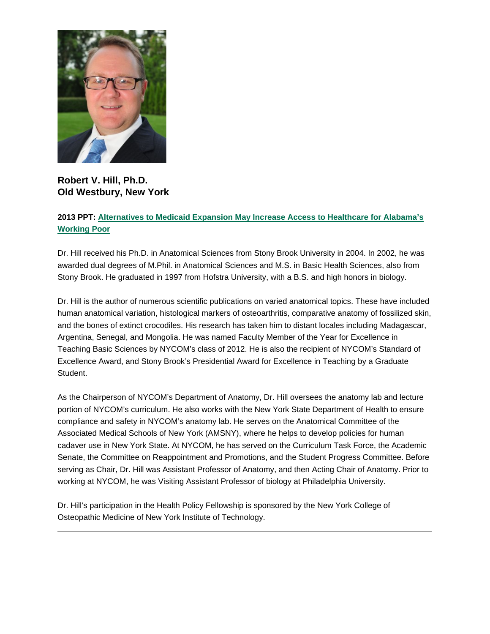

# **Robert V. Hill, Ph.D. Old Westbury, New York**

## **2013 PPT: [Alternatives to Medicaid Expansion May Increase Access to Healthcare for Alabama's](https://ohio.box.com/s/hpwpk7wx8hfze1prxuiga7mev0hdehyt)  [Working Poor](https://ohio.box.com/s/hpwpk7wx8hfze1prxuiga7mev0hdehyt)**

Dr. Hill received his Ph.D. in Anatomical Sciences from Stony Brook University in 2004. In 2002, he was awarded dual degrees of M.Phil. in Anatomical Sciences and M.S. in Basic Health Sciences, also from Stony Brook. He graduated in 1997 from Hofstra University, with a B.S. and high honors in biology.

Dr. Hill is the author of numerous scientific publications on varied anatomical topics. These have included human anatomical variation, histological markers of osteoarthritis, comparative anatomy of fossilized skin, and the bones of extinct crocodiles. His research has taken him to distant locales including Madagascar, Argentina, Senegal, and Mongolia. He was named Faculty Member of the Year for Excellence in Teaching Basic Sciences by NYCOM's class of 2012. He is also the recipient of NYCOM's Standard of Excellence Award, and Stony Brook's Presidential Award for Excellence in Teaching by a Graduate Student.

As the Chairperson of NYCOM's Department of Anatomy, Dr. Hill oversees the anatomy lab and lecture portion of NYCOM's curriculum. He also works with the New York State Department of Health to ensure compliance and safety in NYCOM's anatomy lab. He serves on the Anatomical Committee of the Associated Medical Schools of New York (AMSNY), where he helps to develop policies for human cadaver use in New York State. At NYCOM, he has served on the Curriculum Task Force, the Academic Senate, the Committee on Reappointment and Promotions, and the Student Progress Committee. Before serving as Chair, Dr. Hill was Assistant Professor of Anatomy, and then Acting Chair of Anatomy. Prior to working at NYCOM, he was Visiting Assistant Professor of biology at Philadelphia University.

Dr. Hill's participation in the Health Policy Fellowship is sponsored by the New York College of Osteopathic Medicine of New York Institute of Technology.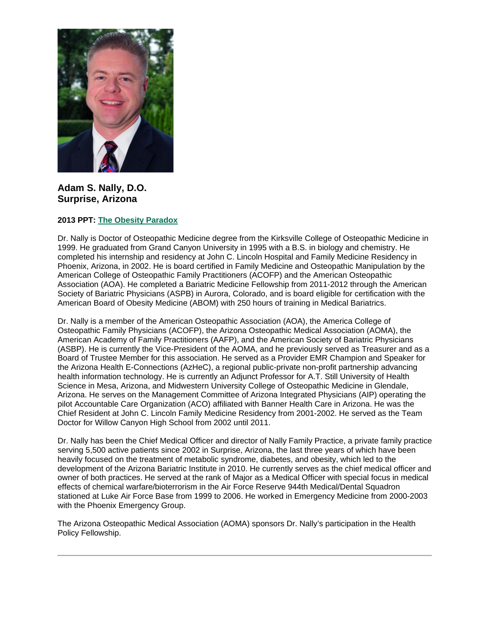

**Adam S. Nally, D.O. Surprise, Arizona**

## **2013 PPT: [The Obesity Paradox](https://ohio.box.com/s/7f8nlg1qnwpxlws3awn48n1ys4bx1rn7)**

Dr. Nally is Doctor of Osteopathic Medicine degree from the Kirksville College of Osteopathic Medicine in 1999. He graduated from Grand Canyon University in 1995 with a B.S. in biology and chemistry. He completed his internship and residency at John C. Lincoln Hospital and Family Medicine Residency in Phoenix, Arizona, in 2002. He is board certified in Family Medicine and Osteopathic Manipulation by the American College of Osteopathic Family Practitioners (ACOFP) and the American Osteopathic Association (AOA). He completed a Bariatric Medicine Fellowship from 2011-2012 through the American Society of Bariatric Physicians (ASPB) in Aurora, Colorado, and is board eligible for certification with the American Board of Obesity Medicine (ABOM) with 250 hours of training in Medical Bariatrics.

Dr. Nally is a member of the American Osteopathic Association (AOA), the America College of Osteopathic Family Physicians (ACOFP), the Arizona Osteopathic Medical Association (AOMA), the American Academy of Family Practitioners (AAFP), and the American Society of Bariatric Physicians (ASBP). He is currently the Vice-President of the AOMA, and he previously served as Treasurer and as a Board of Trustee Member for this association. He served as a Provider EMR Champion and Speaker for the Arizona Health E-Connections (AzHeC), a regional public-private non-profit partnership advancing health information technology. He is currently an Adjunct Professor for A.T. Still University of Health Science in Mesa, Arizona, and Midwestern University College of Osteopathic Medicine in Glendale, Arizona. He serves on the Management Committee of Arizona Integrated Physicians (AIP) operating the pilot Accountable Care Organization (ACO) affiliated with Banner Health Care in Arizona. He was the Chief Resident at John C. Lincoln Family Medicine Residency from 2001-2002. He served as the Team Doctor for Willow Canyon High School from 2002 until 2011.

Dr. Nally has been the Chief Medical Officer and director of Nally Family Practice, a private family practice serving 5,500 active patients since 2002 in Surprise, Arizona, the last three years of which have been heavily focused on the treatment of metabolic syndrome, diabetes, and obesity, which led to the development of the Arizona Bariatric Institute in 2010. He currently serves as the chief medical officer and owner of both practices. He served at the rank of Major as a Medical Officer with special focus in medical effects of chemical warfare/bioterrorism in the Air Force Reserve 944th Medical/Dental Squadron stationed at Luke Air Force Base from 1999 to 2006. He worked in Emergency Medicine from 2000-2003 with the Phoenix Emergency Group.

The Arizona Osteopathic Medical Association (AOMA) sponsors Dr. Nally's participation in the Health Policy Fellowship.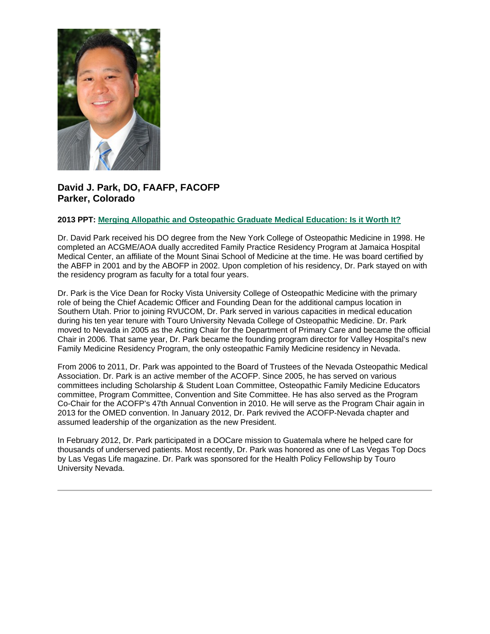

## **David J. Park, DO, FAAFP, FACOFP Parker, Colorado**

### **2013 PPT: [Merging Allopathic and Osteopathic Graduate Medical Education: Is it Worth It?](https://ohio.box.com/s/om59jcqk4onlche65gcudhi9m6c7uyxm)**

Dr. David Park received his DO degree from the New York College of Osteopathic Medicine in 1998. He completed an ACGME/AOA dually accredited Family Practice Residency Program at Jamaica Hospital Medical Center, an affiliate of the Mount Sinai School of Medicine at the time. He was board certified by the ABFP in 2001 and by the ABOFP in 2002. Upon completion of his residency, Dr. Park stayed on with the residency program as faculty for a total four years.

Dr. Park is the Vice Dean for Rocky Vista University College of Osteopathic Medicine with the primary role of being the Chief Academic Officer and Founding Dean for the additional campus location in Southern Utah. Prior to joining RVUCOM, Dr. Park served in various capacities in medical education during his ten year tenure with Touro University Nevada College of Osteopathic Medicine. Dr. Park moved to Nevada in 2005 as the Acting Chair for the Department of Primary Care and became the official Chair in 2006. That same year, Dr. Park became the founding program director for Valley Hospital's new Family Medicine Residency Program, the only osteopathic Family Medicine residency in Nevada.

From 2006 to 2011, Dr. Park was appointed to the Board of Trustees of the Nevada Osteopathic Medical Association. Dr. Park is an active member of the ACOFP. Since 2005, he has served on various committees including Scholarship & Student Loan Committee, Osteopathic Family Medicine Educators committee, Program Committee, Convention and Site Committee. He has also served as the Program Co-Chair for the ACOFP's 47th Annual Convention in 2010. He will serve as the Program Chair again in 2013 for the OMED convention. In January 2012, Dr. Park revived the ACOFP-Nevada chapter and assumed leadership of the organization as the new President.

In February 2012, Dr. Park participated in a DOCare mission to Guatemala where he helped care for thousands of underserved patients. Most recently, Dr. Park was honored as one of Las Vegas Top Docs by Las Vegas Life magazine. Dr. Park was sponsored for the Health Policy Fellowship by Touro University Nevada.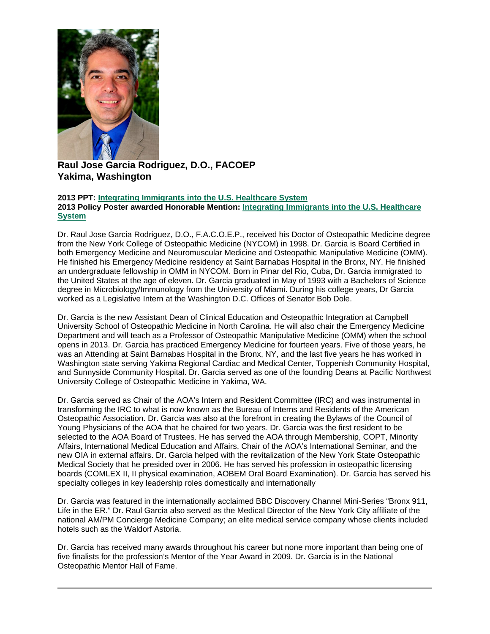

# **Raul Jose Garcia Rodriguez, D.O., FACOEP Yakima, Washington**

#### **2013 PPT: [Integrating Immigrants into the U.S. Healthcare System](https://ohio.box.com/s/9lv3q6gmcyv3t6b4ahjvnl8ouh3x94ou) 2013 Policy Poster awarded Honorable Mention: [Integrating Immigrants into the U.S. Healthcare](https://ohio.box.com/s/xc7ue1yne1hp4lbi5ebeof3xl0mhf687)  [System](https://ohio.box.com/s/xc7ue1yne1hp4lbi5ebeof3xl0mhf687)**

Dr. Raul Jose Garcia Rodriguez, D.O., F.A.C.O.E.P., received his Doctor of Osteopathic Medicine degree from the New York College of Osteopathic Medicine (NYCOM) in 1998. Dr. Garcia is Board Certified in both Emergency Medicine and Neuromuscular Medicine and Osteopathic Manipulative Medicine (OMM). He finished his Emergency Medicine residency at Saint Barnabas Hospital in the Bronx, NY. He finished an undergraduate fellowship in OMM in NYCOM. Born in Pinar del Rio, Cuba, Dr. Garcia immigrated to the United States at the age of eleven. Dr. Garcia graduated in May of 1993 with a Bachelors of Science degree in Microbiology/Immunology from the University of Miami. During his college years, Dr Garcia worked as a Legislative Intern at the Washington D.C. Offices of Senator Bob Dole.

Dr. Garcia is the new Assistant Dean of Clinical Education and Osteopathic Integration at Campbell University School of Osteopathic Medicine in North Carolina. He will also chair the Emergency Medicine Department and will teach as a Professor of Osteopathic Manipulative Medicine (OMM) when the school opens in 2013. Dr. Garcia has practiced Emergency Medicine for fourteen years. Five of those years, he was an Attending at Saint Barnabas Hospital in the Bronx, NY, and the last five years he has worked in Washington state serving Yakima Regional Cardiac and Medical Center, Toppenish Community Hospital, and Sunnyside Community Hospital. Dr. Garcia served as one of the founding Deans at Pacific Northwest University College of Osteopathic Medicine in Yakima, WA.

Dr. Garcia served as Chair of the AOA's Intern and Resident Committee (IRC) and was instrumental in transforming the IRC to what is now known as the Bureau of Interns and Residents of the American Osteopathic Association. Dr. Garcia was also at the forefront in creating the Bylaws of the Council of Young Physicians of the AOA that he chaired for two years. Dr. Garcia was the first resident to be selected to the AOA Board of Trustees. He has served the AOA through Membership, COPT, Minority Affairs, International Medical Education and Affairs, Chair of the AOA's International Seminar, and the new OIA in external affairs. Dr. Garcia helped with the revitalization of the New York State Osteopathic Medical Society that he presided over in 2006. He has served his profession in osteopathic licensing boards (COMLEX II, II physical examination, AOBEM Oral Board Examination). Dr. Garcia has served his specialty colleges in key leadership roles domestically and internationally

Dr. Garcia was featured in the internationally acclaimed BBC Discovery Channel Mini-Series "Bronx 911, Life in the ER." Dr. Raul Garcia also served as the Medical Director of the New York City affiliate of the national AM/PM Concierge Medicine Company; an elite medical service company whose clients included hotels such as the Waldorf Astoria.

Dr. Garcia has received many awards throughout his career but none more important than being one of five finalists for the profession's Mentor of the Year Award in 2009. Dr. Garcia is in the National Osteopathic Mentor Hall of Fame.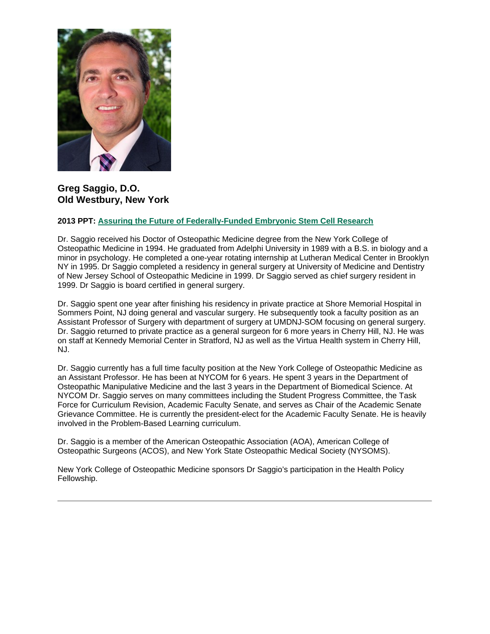

## **Greg Saggio, D.O. Old Westbury, New York**

#### **2013 PPT: [Assuring the Future of Federally-Funded Embryonic Stem Cell Research](https://ohio.box.com/s/40cqoxotabyy7ysmt5h49i6eyr1om73h)**

Dr. Saggio received his Doctor of Osteopathic Medicine degree from the New York College of Osteopathic Medicine in 1994. He graduated from Adelphi University in 1989 with a B.S. in biology and a minor in psychology. He completed a one-year rotating internship at Lutheran Medical Center in Brooklyn NY in 1995. Dr Saggio completed a residency in general surgery at University of Medicine and Dentistry of New Jersey School of Osteopathic Medicine in 1999. Dr Saggio served as chief surgery resident in 1999. Dr Saggio is board certified in general surgery.

Dr. Saggio spent one year after finishing his residency in private practice at Shore Memorial Hospital in Sommers Point, NJ doing general and vascular surgery. He subsequently took a faculty position as an Assistant Professor of Surgery with department of surgery at UMDNJ-SOM focusing on general surgery. Dr. Saggio returned to private practice as a general surgeon for 6 more years in Cherry Hill, NJ. He was on staff at Kennedy Memorial Center in Stratford, NJ as well as the Virtua Health system in Cherry Hill, NJ.

Dr. Saggio currently has a full time faculty position at the New York College of Osteopathic Medicine as an Assistant Professor. He has been at NYCOM for 6 years. He spent 3 years in the Department of Osteopathic Manipulative Medicine and the last 3 years in the Department of Biomedical Science. At NYCOM Dr. Saggio serves on many committees including the Student Progress Committee, the Task Force for Curriculum Revision, Academic Faculty Senate, and serves as Chair of the Academic Senate Grievance Committee. He is currently the president-elect for the Academic Faculty Senate. He is heavily involved in the Problem-Based Learning curriculum.

Dr. Saggio is a member of the American Osteopathic Association (AOA), American College of Osteopathic Surgeons (ACOS), and New York State Osteopathic Medical Society (NYSOMS).

New York College of Osteopathic Medicine sponsors Dr Saggio's participation in the Health Policy Fellowship.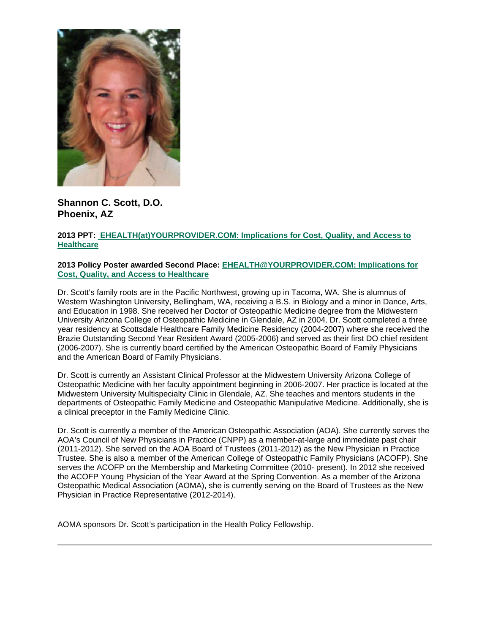

**Shannon C. Scott, D.O. Phoenix, AZ**

## **2013 PPT: [EHEALTH\(at\)YOURPROVIDER.COM: Implications for Cost, Quality, and Access to](https://ohio.box.com/s/ipx0r9ww6k7rp11vol21tz6efatg43b8) [Healthcare](https://ohio.box.com/s/ipx0r9ww6k7rp11vol21tz6efatg43b8)**

#### **2013 Policy Poster awarded Second Place: [EHEALTH@YOURPROVIDER.COM: Implications for](https://ohio.box.com/s/k8mmmn2yyla67n1i4uzmwi66lwglwmvy)  [Cost, Quality, and Access to Healthcare](https://ohio.box.com/s/k8mmmn2yyla67n1i4uzmwi66lwglwmvy)**

Dr. Scott's family roots are in the Pacific Northwest, growing up in Tacoma, WA. She is alumnus of Western Washington University, Bellingham, WA, receiving a B.S. in Biology and a minor in Dance, Arts, and Education in 1998. She received her Doctor of Osteopathic Medicine degree from the Midwestern University Arizona College of Osteopathic Medicine in Glendale, AZ in 2004. Dr. Scott completed a three year residency at Scottsdale Healthcare Family Medicine Residency (2004-2007) where she received the Brazie Outstanding Second Year Resident Award (2005-2006) and served as their first DO chief resident (2006-2007). She is currently board certified by the American Osteopathic Board of Family Physicians and the American Board of Family Physicians.

Dr. Scott is currently an Assistant Clinical Professor at the Midwestern University Arizona College of Osteopathic Medicine with her faculty appointment beginning in 2006-2007. Her practice is located at the Midwestern University Multispecialty Clinic in Glendale, AZ. She teaches and mentors students in the departments of Osteopathic Family Medicine and Osteopathic Manipulative Medicine. Additionally, she is a clinical preceptor in the Family Medicine Clinic.

Dr. Scott is currently a member of the American Osteopathic Association (AOA). She currently serves the AOA's Council of New Physicians in Practice (CNPP) as a member-at-large and immediate past chair (2011-2012). She served on the AOA Board of Trustees (2011-2012) as the New Physician in Practice Trustee. She is also a member of the American College of Osteopathic Family Physicians (ACOFP). She serves the ACOFP on the Membership and Marketing Committee (2010- present). In 2012 she received the ACOFP Young Physician of the Year Award at the Spring Convention. As a member of the Arizona Osteopathic Medical Association (AOMA), she is currently serving on the Board of Trustees as the New Physician in Practice Representative (2012-2014).

AOMA sponsors Dr. Scott's participation in the Health Policy Fellowship.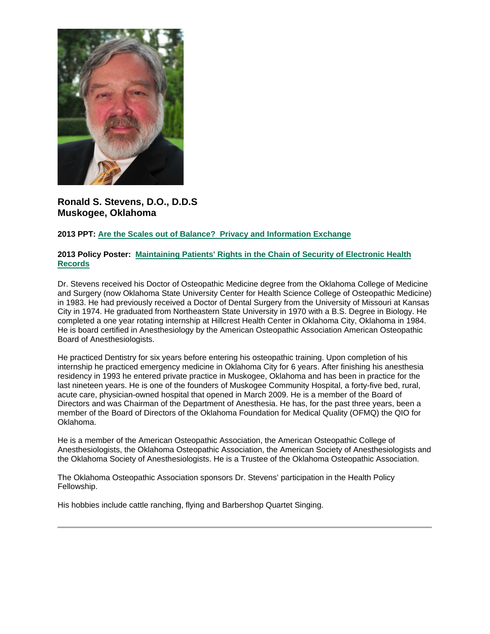

**Ronald S. Stevens, D.O., D.D.S Muskogee, Oklahoma**

## **2013 PPT: Are the Scales out of Balance? [Privacy and Information Exchange](https://ohio.box.com/s/5bxyxz1r5210tzrrkdml34sx3z6953cw)**

### **2013 Policy Poster: [Maintaining Patients' Rights in the Chain of Security of Electronic Health](https://ohio.box.com/s/5apiy4nv5gp1wvdlvxmm1336ghyh8g3h)  [Records](https://ohio.box.com/s/5apiy4nv5gp1wvdlvxmm1336ghyh8g3h)**

Dr. Stevens received his Doctor of Osteopathic Medicine degree from the Oklahoma College of Medicine and Surgery (now Oklahoma State University Center for Health Science College of Osteopathic Medicine) in 1983. He had previously received a Doctor of Dental Surgery from the University of Missouri at Kansas City in 1974. He graduated from Northeastern State University in 1970 with a B.S. Degree in Biology. He completed a one year rotating internship at Hillcrest Health Center in Oklahoma City, Oklahoma in 1984. He is board certified in Anesthesiology by the American Osteopathic Association American Osteopathic Board of Anesthesiologists.

He practiced Dentistry for six years before entering his osteopathic training. Upon completion of his internship he practiced emergency medicine in Oklahoma City for 6 years. After finishing his anesthesia residency in 1993 he entered private practice in Muskogee, Oklahoma and has been in practice for the last nineteen years. He is one of the founders of Muskogee Community Hospital, a forty-five bed, rural, acute care, physician-owned hospital that opened in March 2009. He is a member of the Board of Directors and was Chairman of the Department of Anesthesia. He has, for the past three years, been a member of the Board of Directors of the Oklahoma Foundation for Medical Quality (OFMQ) the QIO for Oklahoma.

He is a member of the American Osteopathic Association, the American Osteopathic College of Anesthesiologists, the Oklahoma Osteopathic Association, the American Society of Anesthesiologists and the Oklahoma Society of Anesthesiologists. He is a Trustee of the Oklahoma Osteopathic Association.

The Oklahoma Osteopathic Association sponsors Dr. Stevens' participation in the Health Policy Fellowship.

His hobbies include cattle ranching, flying and Barbershop Quartet Singing.